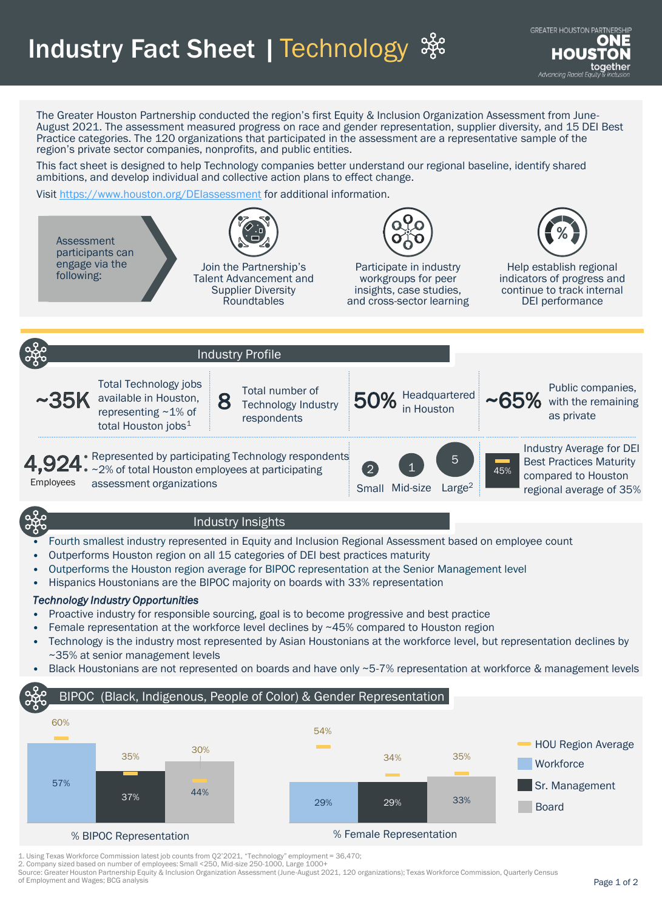Industry Fact Sheet | Technology

The Greater Houston Partnership conducted the region's first Equity & Inclusion Organization Assessment from June-August 2021. The assessment measured progress on race and gender representation, supplier diversity, and 15 DEI Best Practice categories. The 120 organizations that participated in the assessment are a representative sample of the region's private sector companies, nonprofits, and public entities.

This fact sheet is designed to help Technology companies better understand our regional baseline, identify shared ambitions, and develop individual and collective action plans to effect change.

Visit <https://www.houston.org/DEIassessment> for additional information.



## Industry Insights

- Fourth smallest industry represented in Equity and Inclusion Regional Assessment based on employee count
- Outperforms Houston region on all 15 categories of DEI best practices maturity
- Outperforms the Houston region average for BIPOC representation at the Senior Management level
- Hispanics Houstonians are the BIPOC majority on boards with 33% representation

## *Technology Industry Opportunities*

- Proactive industry for responsible sourcing, goal is to become progressive and best practice
- Female representation at the workforce level declines by ~45% compared to Houston region
- Technology is the industry most represented by Asian Houstonians at the workforce level, but representation declines by ~35% at senior management levels
- Black Houstonians are not represented on boards and have only ~5-7% representation at workforce & management levels

## **Workforce** Sr. Management Board HOU Region Average BIPOC (Black, Indigenous, People of Color) & Gender Representation 30% 44% 57% 60% 37% 35% 29% 29% 35% 54% 34% 33%

% BIPOC Representation % Female Representation

1. Using Texas Workforce Commission latest job counts from Q2'2021, "Technology" employment = 36,470;

2. Company sized based on number of employees: Small <250, Mid-size 250-1000, Large 1000+

Source: Greater Houston Partnership Equity & Inclusion Organization Assessment (June-August 2021, 120 organizations); Texas Workforce Commission, Quarterly Census of Employment and Wages; BCG analysis